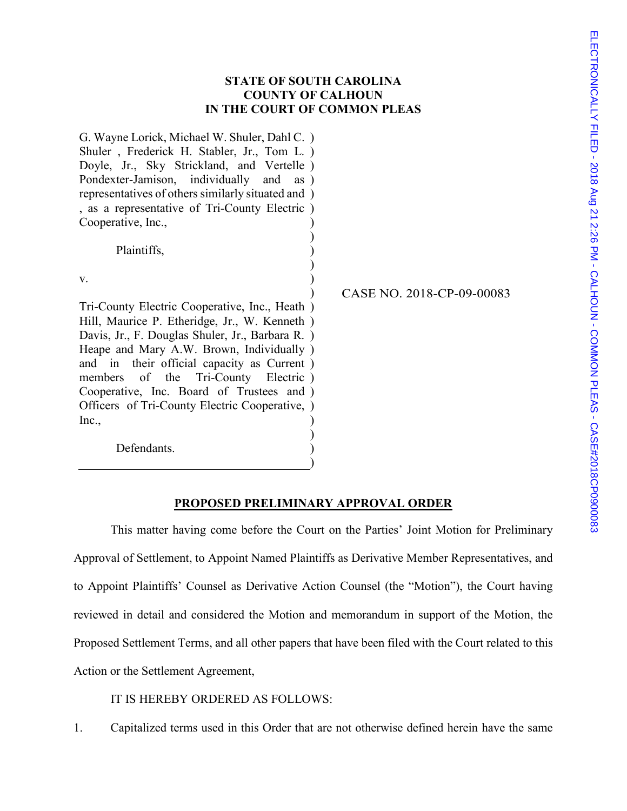## **STATE OF SOUTH CAROLINA COUNTY OF CALHOUN IN THE COURT OF COMMON PLEAS**

) ) ) )

G. Wayne Lorick, Michael W. Shuler, Dahl C. ) Shuler , Frederick H. Stabler, Jr., Tom L. ) Doyle, Jr., Sky Strickland, and Vertelle ) Pondexter-Jamison, individually and as ) representatives of others similarly situated and ) , as a representative of Tri-County Electric ) Cooperative, Inc., ) )

Plaintiffs,

Defendants.

v.

Tri-County Electric Cooperative, Inc., Heath ) Hill, Maurice P. Etheridge, Jr., W. Kenneth ) Davis, Jr., F. Douglas Shuler, Jr., Barbara R. ) Heape and Mary A.W. Brown, Individually ) and in their official capacity as Current ) members of the Tri-County Electric ) Cooperative, Inc. Board of Trustees and ) Officers of Tri-County Electric Cooperative, ) Inc., ) ) CASE NO. 2018-CP-09-00083

### **PROPOSED PRELIMINARY APPROVAL ORDER**

) )

This matter having come before the Court on the Parties' Joint Motion for Preliminary Approval of Settlement, to Appoint Named Plaintiffs as Derivative Member Representatives, and to Appoint Plaintiffs' Counsel as Derivative Action Counsel (the "Motion"), the Court having reviewed in detail and considered the Motion and memorandum in support of the Motion, the Proposed Settlement Terms, and all other papers that have been filed with the Court related to this Action or the Settlement Agreement,

IT IS HEREBY ORDERED AS FOLLOWS:

1. Capitalized terms used in this Order that are not otherwise defined herein have the same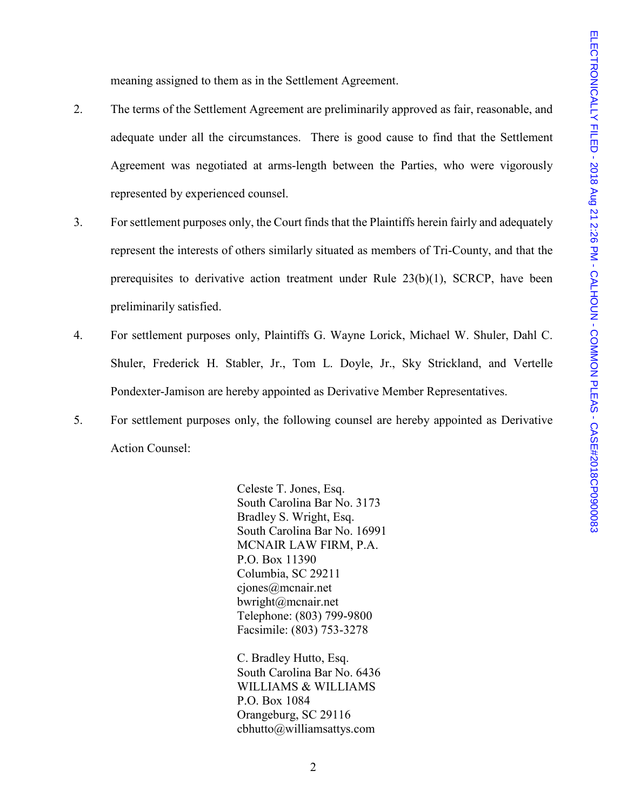meaning assigned to them as in the Settlement Agreement.

- 2. The terms of the Settlement Agreement are preliminarily approved as fair, reasonable, and adequate under all the circumstances. There is good cause to find that the Settlement Agreement was negotiated at arms-length between the Parties, who were vigorously represented by experienced counsel.
- 3. For settlement purposes only, the Court finds that the Plaintiffs herein fairly and adequately represent the interests of others similarly situated as members of Tri-County, and that the prerequisites to derivative action treatment under Rule  $23(b)(1)$ , SCRCP, have been preliminarily satisfied.
- 4. For settlement purposes only, Plaintiffs G. Wayne Lorick, Michael W. Shuler, Dahl C. Shuler, Frederick H. Stabler, Jr., Tom L. Doyle, Jr., Sky Strickland, and Vertelle Pondexter-Jamison are hereby appointed as Derivative Member Representatives.
- 5. For settlement purposes only, the following counsel are hereby appointed as Derivative Action Counsel:

Celeste T. Jones, Esq. South Carolina Bar No. 3173 Bradley S. Wright, Esq. South Carolina Bar No. 16991 MCNAIR LAW FIRM, P.A. P.O. Box 11390 Columbia, SC 29211 cjones@mcnair.net bwright@mcnair.net Telephone: (803) 799-9800 Facsimile: (803) 753-3278

C. Bradley Hutto, Esq. South Carolina Bar No. 6436 WILLIAMS & WILLIAMS P.O. Box 1084 Orangeburg, SC 29116 cbhutto@williamsattys.com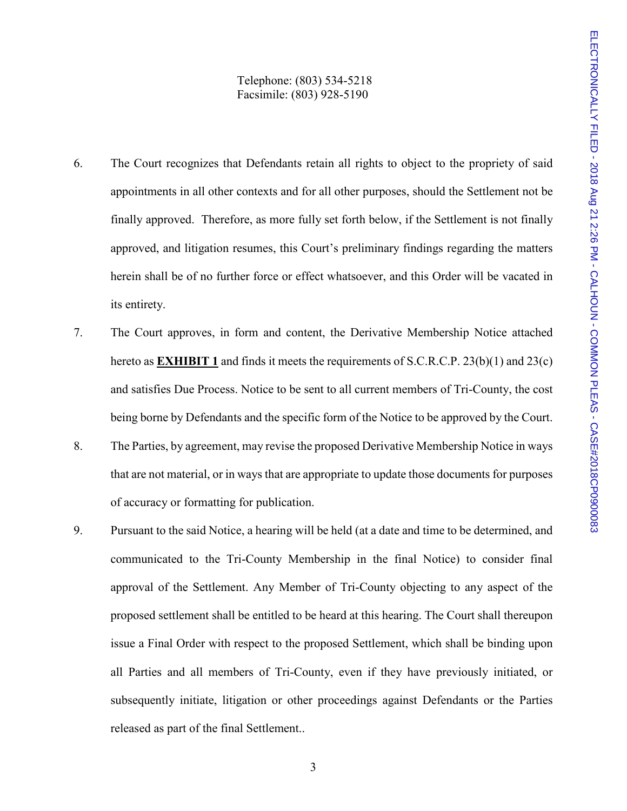### Telephone: (803) 534-5218 Facsimile: (803) 928-5190

- 6. The Court recognizes that Defendants retain all rights to object to the propriety of said appointments in all other contexts and for all other purposes, should the Settlement not be finally approved. Therefore, as more fully set forth below, if the Settlement is not finally approved, and litigation resumes, this Court's preliminary findings regarding the matters herein shall be of no further force or effect whatsoever, and this Order will be vacated in its entirety.
- 7. The Court approves, in form and content, the Derivative Membership Notice attached hereto as **EXHIBIT 1** and finds it meets the requirements of S.C.R.C.P. 23(b)(1) and 23(c) and satisfies Due Process. Notice to be sent to all current members of Tri-County, the cost being borne by Defendants and the specific form of the Notice to be approved by the Court.
- 8. The Parties, by agreement, may revise the proposed Derivative Membership Notice in ways that are not material, or in ways that are appropriate to update those documents for purposes of accuracy or formatting for publication.
- 9. Pursuant to the said Notice, a hearing will be held (at a date and time to be determined, and communicated to the Tri-County Membership in the final Notice) to consider final approval of the Settlement. Any Member of Tri-County objecting to any aspect of the proposed settlement shall be entitled to be heard at this hearing. The Court shall thereupon issue a Final Order with respect to the proposed Settlement, which shall be binding upon all Parties and all members of Tri-County, even if they have previously initiated, or subsequently initiate, litigation or other proceedings against Defendants or the Parties released as part of the final Settlement..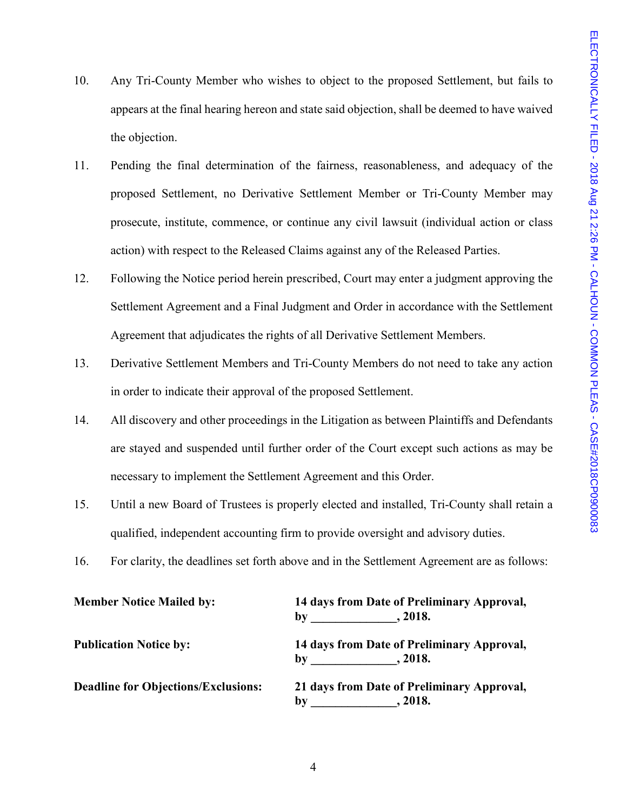- 10. Any Tri-County Member who wishes to object to the proposed Settlement, but fails to appears at the final hearing hereon and state said objection, shall be deemed to have waived the objection.
- 11. Pending the final determination of the fairness, reasonableness, and adequacy of the proposed Settlement, no Derivative Settlement Member or Tri-County Member may prosecute, institute, commence, or continue any civil lawsuit (individual action or class action) with respect to the Released Claims against any of the Released Parties.
- 12. Following the Notice period herein prescribed, Court may enter a judgment approving the Settlement Agreement and a Final Judgment and Order in accordance with the Settlement Agreement that adjudicates the rights of all Derivative Settlement Members.
- 13. Derivative Settlement Members and Tri-County Members do not need to take any action in order to indicate their approval of the proposed Settlement.
- 14. All discovery and other proceedings in the Litigation as between Plaintiffs and Defendants are stayed and suspended until further order of the Court except such actions as may be necessary to implement the Settlement Agreement and this Order.
- 15. Until a new Board of Trustees is properly elected and installed, Tri-County shall retain a qualified, independent accounting firm to provide oversight and advisory duties.
- 16. For clarity, the deadlines set forth above and in the Settlement Agreement are as follows:

| <b>Member Notice Mailed by:</b>            | 14 days from Date of Preliminary Approval,<br>, 2018.<br>by                     |
|--------------------------------------------|---------------------------------------------------------------------------------|
| <b>Publication Notice by:</b>              | 14 days from Date of Preliminary Approval,<br>.2018.<br>$\mathbf{b}$ v          |
| <b>Deadline for Objections/Exclusions:</b> | 21 days from Date of Preliminary Approval,<br>. 2018.<br>$\mathbf{b}\mathbf{v}$ |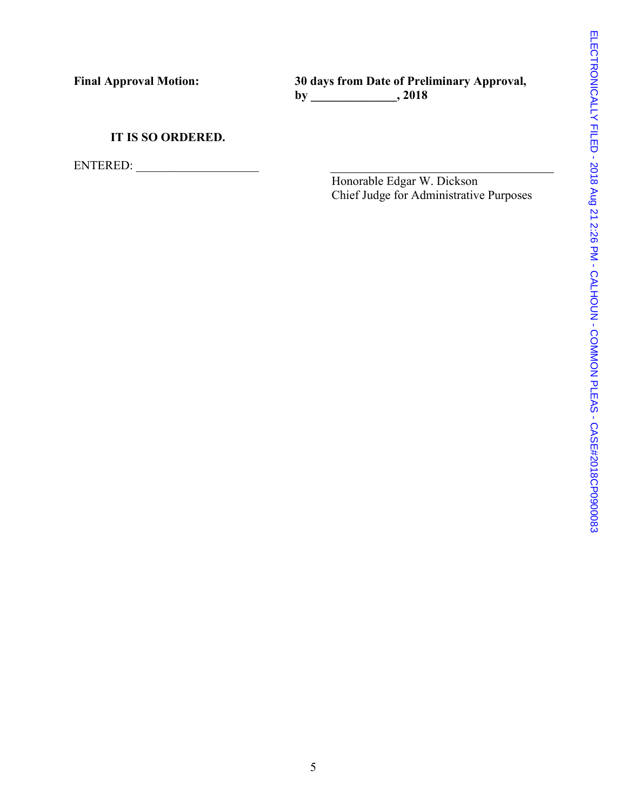**Final Approval Motion: 30 days from Date of Preliminary Approval, by \_\_\_\_\_\_\_\_\_\_\_\_\_\_, 2018** 

# **IT IS SO ORDERED.**

ENTERED:

Honorable Edgar W. Dickson Chief Judge for Administrative Purposes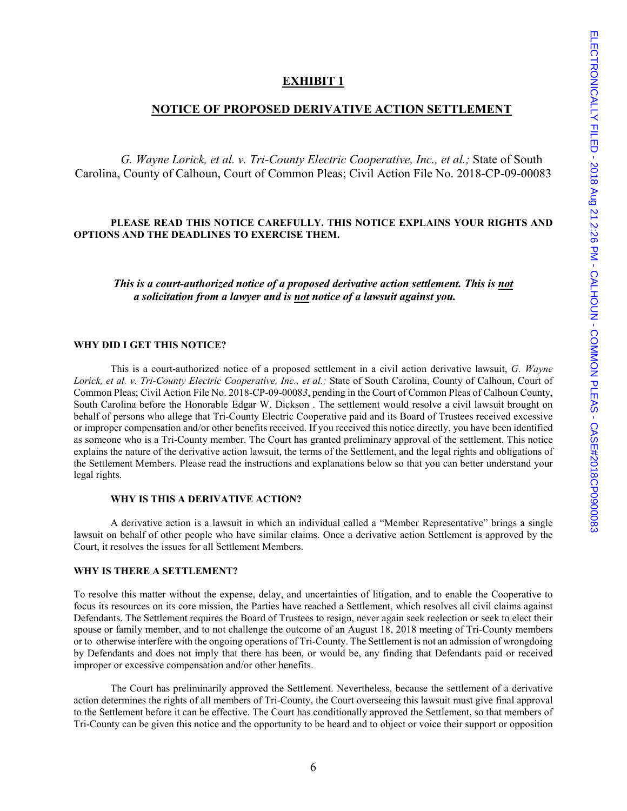### **EXHIBIT 1**

### **NOTICE OF PROPOSED DERIVATIVE ACTION SETTLEMENT**

*G. Wayne Lorick, et al. v. Tri-County Electric Cooperative, Inc., et al.;* State of South Carolina, County of Calhoun, Court of Common Pleas; Civil Action File No. 2018-CP-09-00083

#### **PLEASE READ THIS NOTICE CAREFULLY. THIS NOTICE EXPLAINS YOUR RIGHTS AND OPTIONS AND THE DEADLINES TO EXERCISE THEM.**

*This is a court-authorized notice of a proposed derivative action settlement. This is not a solicitation from a lawyer and is not notice of a lawsuit against you.* 

#### **WHY DID I GET THIS NOTICE?**

This is a court-authorized notice of a proposed settlement in a civil action derivative lawsuit, *G. Wayne Lorick, et al. v. Tri-County Electric Cooperative, Inc., et al.;* State of South Carolina, County of Calhoun, Court of Common Pleas; Civil Action File No. 2018-CP-09-0008*3*, pending in the Court of Common Pleas of Calhoun County, South Carolina before the Honorable Edgar W. Dickson . The settlement would resolve a civil lawsuit brought on behalf of persons who allege that Tri-County Electric Cooperative paid and its Board of Trustees received excessive or improper compensation and/or other benefits received. If you received this notice directly, you have been identified as someone who is a Tri-County member. The Court has granted preliminary approval of the settlement. This notice explains the nature of the derivative action lawsuit, the terms of the Settlement, and the legal rights and obligations of the Settlement Members. Please read the instructions and explanations below so that you can better understand your legal rights.

#### **WHY IS THIS A DERIVATIVE ACTION?**

A derivative action is a lawsuit in which an individual called a "Member Representative" brings a single lawsuit on behalf of other people who have similar claims. Once a derivative action Settlement is approved by the Court, it resolves the issues for all Settlement Members.

#### **WHY IS THERE A SETTLEMENT?**

To resolve this matter without the expense, delay, and uncertainties of litigation, and to enable the Cooperative to focus its resources on its core mission, the Parties have reached a Settlement, which resolves all civil claims against Defendants. The Settlement requires the Board of Trustees to resign, never again seek reelection or seek to elect their spouse or family member, and to not challenge the outcome of an August 18, 2018 meeting of Tri-County members or to otherwise interfere with the ongoing operations of Tri-County. The Settlement is not an admission of wrongdoing by Defendants and does not imply that there has been, or would be, any finding that Defendants paid or received improper or excessive compensation and/or other benefits.

The Court has preliminarily approved the Settlement. Nevertheless, because the settlement of a derivative action determines the rights of all members of Tri-County, the Court overseeing this lawsuit must give final approval to the Settlement before it can be effective. The Court has conditionally approved the Settlement, so that members of Tri-County can be given this notice and the opportunity to be heard and to object or voice their support or opposition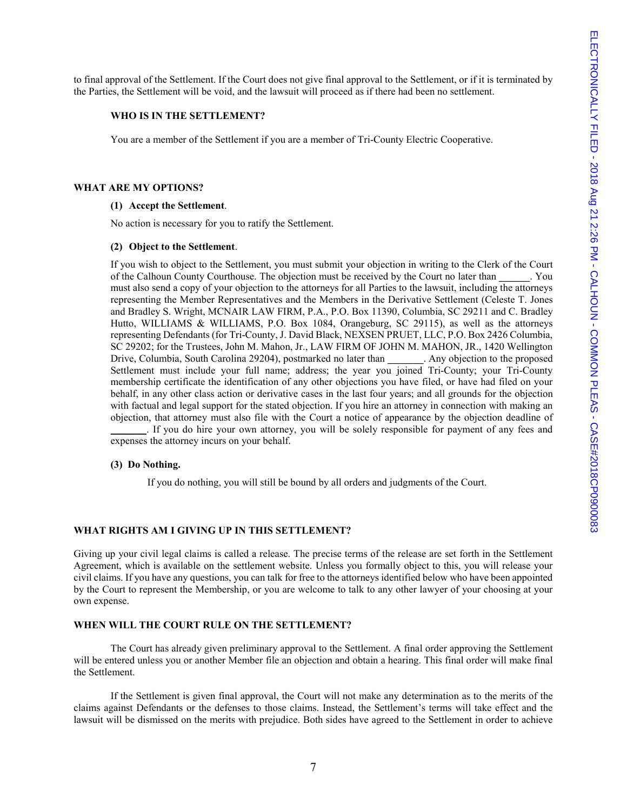to final approval of the Settlement. If the Court does not give final approval to the Settlement, or if it is terminated by the Parties, the Settlement will be void, and the lawsuit will proceed as if there had been no settlement.

#### **WHO IS IN THE SETTLEMENT?**

You are a member of the Settlement if you are a member of Tri-County Electric Cooperative.

#### **WHAT ARE MY OPTIONS?**

#### **(1) Accept the Settlement**.

No action is necessary for you to ratify the Settlement.

#### **(2) Object to the Settlement**.

If you wish to object to the Settlement, you must submit your objection in writing to the Clerk of the Court of the Calhoun County Courthouse. The objection must be received by the Court no later than must also send a copy of your objection to the attorneys for all Parties to the lawsuit, including the attorneys representing the Member Representatives and the Members in the Derivative Settlement (Celeste T. Jones and Bradley S. Wright, MCNAIR LAW FIRM, P.A., P.O. Box 11390, Columbia, SC 29211 and C. Bradley Hutto, WILLIAMS & WILLIAMS, P.O. Box 1084, Orangeburg, SC 29115), as well as the attorneys representing Defendants (for Tri-County, J. David Black, NEXSEN PRUET, LLC, P.O. Box 2426 Columbia, SC 29202; for the Trustees, John M. Mahon, Jr., LAW FIRM OF JOHN M. MAHON, JR., 1420 Wellington Drive, Columbia, South Carolina 29204), postmarked no later than **\_\_\_\_\_\_\_**. Any objection to the proposed Settlement must include your full name; address; the year you joined Tri-County; your Tri-County membership certificate the identification of any other objections you have filed, or have had filed on your behalf, in any other class action or derivative cases in the last four years; and all grounds for the objection with factual and legal support for the stated objection. If you hire an attorney in connection with making an objection, that attorney must also file with the Court a notice of appearance by the objection deadline of If you do hire your own attorney, you will be solely responsible for payment of any fees and expenses the attorney incurs on your behalf.

#### **(3) Do Nothing.**

If you do nothing, you will still be bound by all orders and judgments of the Court.

#### **WHAT RIGHTS AM I GIVING UP IN THIS SETTLEMENT?**

Giving up your civil legal claims is called a release. The precise terms of the release are set forth in the Settlement Agreement, which is available on the settlement website. Unless you formally object to this, you will release your civil claims. If you have any questions, you can talk for free to the attorneys identified below who have been appointed by the Court to represent the Membership, or you are welcome to talk to any other lawyer of your choosing at your own expense.

#### **WHEN WILL THE COURT RULE ON THE SETTLEMENT?**

The Court has already given preliminary approval to the Settlement. A final order approving the Settlement will be entered unless you or another Member file an objection and obtain a hearing. This final order will make final the Settlement.

If the Settlement is given final approval, the Court will not make any determination as to the merits of the claims against Defendants or the defenses to those claims. Instead, the Settlement's terms will take effect and the lawsuit will be dismissed on the merits with prejudice. Both sides have agreed to the Settlement in order to achieve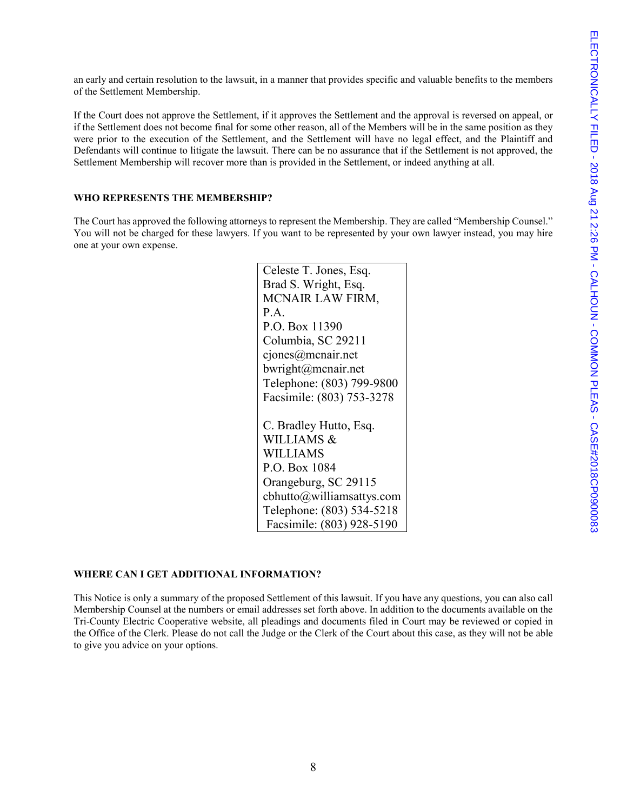an early and certain resolution to the lawsuit, in a manner that provides specific and valuable benefits to the members of the Settlement Membership.

If the Court does not approve the Settlement, if it approves the Settlement and the approval is reversed on appeal, or if the Settlement does not become final for some other reason, all of the Members will be in the same position as they were prior to the execution of the Settlement, and the Settlement will have no legal effect, and the Plaintiff and Defendants will continue to litigate the lawsuit. There can be no assurance that if the Settlement is not approved, the Settlement Membership will recover more than is provided in the Settlement, or indeed anything at all.

#### **WHO REPRESENTS THE MEMBERSHIP?**

The Court has approved the following attorneys to represent the Membership. They are called "Membership Counsel." You will not be charged for these lawyers. If you want to be represented by your own lawyer instead, you may hire one at your own expense.

> Celeste T. Jones, Esq. Brad S. Wright, Esq. MCNAIR LAW FIRM, P.A. P.O. Box 11390 Columbia, SC 29211 cjones@mcnair.net bwright@mcnair.net Telephone: (803) 799-9800 Facsimile: (803) 753-3278 C. Bradley Hutto, Esq. WILLIAMS & WILLIAMS P.O. Box 1084 Orangeburg, SC 29115 cbhutto@williamsattys.com Telephone: (803) 534-5218 Facsimile: (803) 928-5190

#### **WHERE CAN I GET ADDITIONAL INFORMATION?**

This Notice is only a summary of the proposed Settlement of this lawsuit. If you have any questions, you can also call Membership Counsel at the numbers or email addresses set forth above. In addition to the documents available on the Tri-County Electric Cooperative website, all pleadings and documents filed in Court may be reviewed or copied in the Office of the Clerk. Please do not call the Judge or the Clerk of the Court about this case, as they will not be able to give you advice on your options.